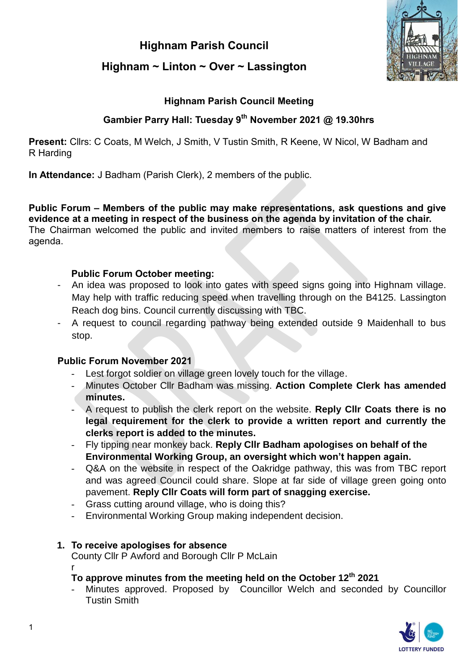# **Highnam Parish Council**



## **Highnam ~ Linton ~ Over ~ Lassington**

## **Highnam Parish Council Meeting**

## **Gambier Parry Hall: Tuesday 9 th November 2021 @ 19.30hrs**

**Present:** Cllrs: C Coats, M Welch, J Smith, V Tustin Smith, R Keene, W Nicol, W Badham and R Harding

**In Attendance:** J Badham (Parish Clerk), 2 members of the public.

**Public Forum – Members of the public may make representations, ask questions and give evidence at a meeting in respect of the business on the agenda by invitation of the chair.**  The Chairman welcomed the public and invited members to raise matters of interest from the agenda.

#### **Public Forum October meeting:**

- An idea was proposed to look into gates with speed signs going into Highnam village. May help with traffic reducing speed when travelling through on the B4125. Lassington Reach dog bins. Council currently discussing with TBC.
- A request to council regarding pathway being extended outside 9 Maidenhall to bus stop.

## **Public Forum November 2021**

- Lest forgot soldier on village green lovely touch for the village.
- Minutes October Cllr Badham was missing. **Action Complete Clerk has amended minutes.**
- A request to publish the clerk report on the website. **Reply Cllr Coats there is no legal requirement for the clerk to provide a written report and currently the clerks report is added to the minutes.**
- Fly tipping near monkey back. **Reply Cllr Badham apologises on behalf of the Environmental Working Group, an oversight which won't happen again.**
- Q&A on the website in respect of the Oakridge pathway, this was from TBC report and was agreed Council could share. Slope at far side of village green going onto pavement. **Reply Cllr Coats will form part of snagging exercise.**
- Grass cutting around village, who is doing this?
- Environmental Working Group making independent decision.

## **1. To receive apologises for absence**

County Cllr P Awford and Borough Cllr P McLain

#### r **To approve minutes from the meeting held on the October 12th 2021**

Minutes approved. Proposed by Councillor Welch and seconded by Councillor Tustin Smith

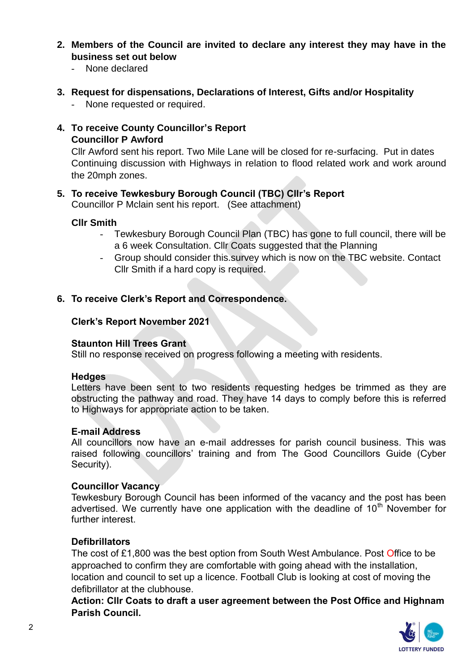- **2. Members of the Council are invited to declare any interest they may have in the business set out below**
	- None declared
- **3. Request for dispensations, Declarations of Interest, Gifts and/or Hospitality**
	- None requested or required.
- **4. To receive County Councillor's Report Councillor P Awford**

Cllr Awford sent his report. Two Mile Lane will be closed for re-surfacing. Put in dates Continuing discussion with Highways in relation to flood related work and work around the 20mph zones.

## **5. To receive Tewkesbury Borough Council (TBC) Cllr's Report**

Councillor P Mclain sent his report. (See attachment)

#### **Cllr Smith**

- Tewkesbury Borough Council Plan (TBC) has gone to full council, there will be a 6 week Consultation. Cllr Coats suggested that the Planning
- Group should consider this.survey which is now on the TBC website. Contact Cllr Smith if a hard copy is required.

## **6. To receive Clerk's Report and Correspondence.**

#### **Clerk's Report November 2021**

#### **Staunton Hill Trees Grant**

Still no response received on progress following a meeting with residents.

#### **Hedges**

Letters have been sent to two residents requesting hedges be trimmed as they are obstructing the pathway and road. They have 14 days to comply before this is referred to Highways for appropriate action to be taken.

#### **E-mail Address**

All councillors now have an e-mail addresses for parish council business. This was raised following councillors' training and from The Good Councillors Guide (Cyber Security).

#### **Councillor Vacancy**

Tewkesbury Borough Council has been informed of the vacancy and the post has been advertised. We currently have one application with the deadline of  $10<sup>th</sup>$  November for further interest

## **Defibrillators**

The cost of £1,800 was the best option from South West Ambulance. Post Office to be approached to confirm they are comfortable with going ahead with the installation, location and council to set up a licence. Football Club is looking at cost of moving the defibrillator at the clubhouse.

**Action: Cllr Coats to draft a user agreement between the Post Office and Highnam Parish Council.**

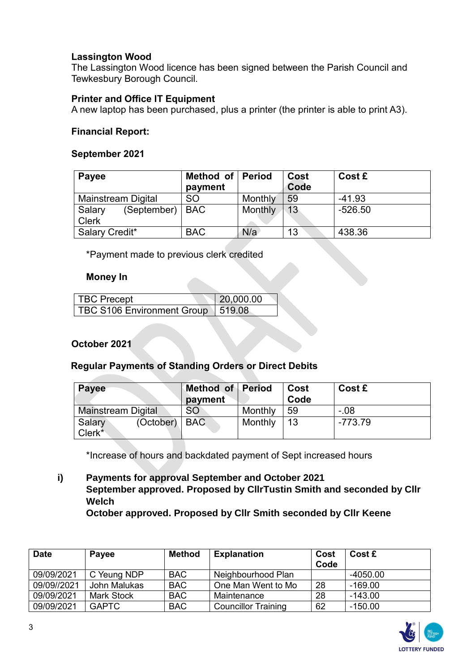### **Lassington Wood**

The Lassington Wood licence has been signed between the Parish Council and Tewkesbury Borough Council.

#### **Printer and Office IT Equipment**

A new laptop has been purchased, plus a printer (the printer is able to print A3).

#### **Financial Report:**

#### **September 2021**

| Payee                                       | Method of Period<br>payment |         | Cost<br>Code | Cost £    |
|---------------------------------------------|-----------------------------|---------|--------------|-----------|
| <b>Mainstream Digital</b>                   | <b>SO</b>                   | Monthly | 59           | $-41.93$  |
| (September)   BAC<br>Salary<br><b>Clerk</b> |                             | Monthly | 13           | $-526.50$ |
| Salary Credit*                              | <b>BAC</b>                  | N/a     | 13           | 438.36    |

\*Payment made to previous clerk credited

#### **Money In**

| TBC Precept                | 20,000.00 |  |
|----------------------------|-----------|--|
| TBC S106 Environment Group | 1519.08   |  |

#### **October 2021**

#### **Regular Payments of Standing Orders or Direct Debits**

| Payee                                           | Method of Period<br>payment |         | Cost<br>Code | Cost £    |
|-------------------------------------------------|-----------------------------|---------|--------------|-----------|
| <b>Mainstream Digital</b>                       | <b>SO</b>                   | Monthly | 59           | - 08      |
| (October)   BAC<br>Salary<br>Clerk <sup>*</sup> |                             | Monthly | 13           | $-773.79$ |

\*Increase of hours and backdated payment of Sept increased hours

**i) Payments for approval September and October 2021 September approved. Proposed by CllrTustin Smith and seconded by Cllr Welch** 

**October approved. Proposed by Cllr Smith seconded by Cllr Keene**

| <b>Date</b> | Payee             | <b>Method</b> | <b>Explanation</b>         | Cost<br>Code | Cost £     |
|-------------|-------------------|---------------|----------------------------|--------------|------------|
| 09/09/2021  | C Yeung NDP       | <b>BAC</b>    | Neighbourhood Plan         |              | $-4050.00$ |
| 09/09//2021 | John Malukas      | <b>BAC</b>    | One Man Went to Mo         | 28           | $-169.00$  |
| 09/09/2021  | <b>Mark Stock</b> | <b>BAC</b>    | Maintenance                | 28           | $-143.00$  |
| 09/09/2021  | <b>GAPTC</b>      | <b>BAC</b>    | <b>Councillor Training</b> | 62           | $-150.00$  |

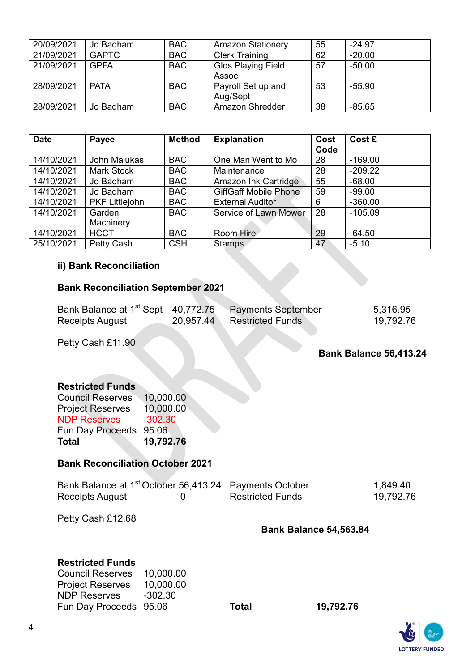| 20/09/2021 | Jo Badham    | <b>BAC</b> | <b>Amazon Stationery</b>  | 55 | $-24.97$ |
|------------|--------------|------------|---------------------------|----|----------|
| 21/09/2021 | <b>GAPTC</b> | <b>BAC</b> | <b>Clerk Training</b>     | 62 | $-20.00$ |
| 21/09/2021 | <b>GPFA</b>  | <b>BAC</b> | <b>Glos Playing Field</b> | 57 | $-50.00$ |
|            |              |            | Assoc                     |    |          |
| 28/09/2021 | <b>PATA</b>  | <b>BAC</b> | Payroll Set up and        | 53 | $-55.90$ |
|            |              |            | Aug/Sept                  |    |          |
| 28/09/2021 | Jo Badham    | <b>BAC</b> | Amazon Shredder           | 38 | $-85.65$ |

| <b>Date</b> | Payee                 | <b>Method</b> | <b>Explanation</b>           | Cost | Cost £    |
|-------------|-----------------------|---------------|------------------------------|------|-----------|
|             |                       |               |                              | Code |           |
| 14/10/2021  | John Malukas          | <b>BAC</b>    | One Man Went to Mo           | 28   | $-169.00$ |
| 14/10/2021  | <b>Mark Stock</b>     | <b>BAC</b>    | Maintenance                  | 28   | $-209.22$ |
| 14/10/2021  | Jo Badham             | <b>BAC</b>    | Amazon Ink Cartridge         | 55   | $-68.00$  |
| 14/10/2021  | Jo Badham             | <b>BAC</b>    | <b>GiffGaff Mobile Phone</b> | 59   | $-99.00$  |
| 14/10/2021  | <b>PKF Littlejohn</b> | <b>BAC</b>    | <b>External Auditor</b>      | 6    | $-360.00$ |
| 14/10/2021  | Garden                | <b>BAC</b>    | Service of Lawn Mower        | 28   | $-105.09$ |
|             | Machinery             |               |                              |      |           |
| 14/10/2021  | <b>HCCT</b>           | <b>BAC</b>    | Room Hire                    | 29   | $-64.50$  |
| 25/10/2021  | Petty Cash            | <b>CSH</b>    | <b>Stamps</b>                | 47   | $-5.10$   |

## **ii) Bank Reconciliation**

## **Bank Reconciliation September 2021**

| Bank Balance at 1 <sup>st</sup> Sept 40,772.75 |           | <b>Payments September</b> | 5,316.95  |
|------------------------------------------------|-----------|---------------------------|-----------|
| Receipts August                                | 20,957.44 | <b>Restricted Funds</b>   | 19,792.76 |

Petty Cash £11.90

## **Bank Balance 56,413.24**

#### **Restricted Funds**

| Total                   | 19,792.76 |
|-------------------------|-----------|
| Fun Day Proceeds 95.06  |           |
| <b>NDP Reserves</b>     | $-302.30$ |
| <b>Project Reserves</b> | 10,000.00 |
| <b>Council Reserves</b> | 10,000.00 |

#### **Bank Reconciliation October 2021**

| Bank Balance at 1 <sup>st</sup> October 56,413.24 Payments October |                         | 1,849.40  |
|--------------------------------------------------------------------|-------------------------|-----------|
| Receipts August                                                    | <b>Restricted Funds</b> | 19,792.76 |

Petty Cash £12.68

## **Bank Balance 54,563.84**

#### **Restricted Funds**

| <b>Council Reserves</b> | 10,000.00 |
|-------------------------|-----------|
| <b>Project Reserves</b> | 10,000.00 |
| <b>NDP Reserves</b>     | $-302.30$ |
| Fun Day Proceeds 95.06  |           |

Fun Day Proceeds 95.06 **Total 19,792.76**

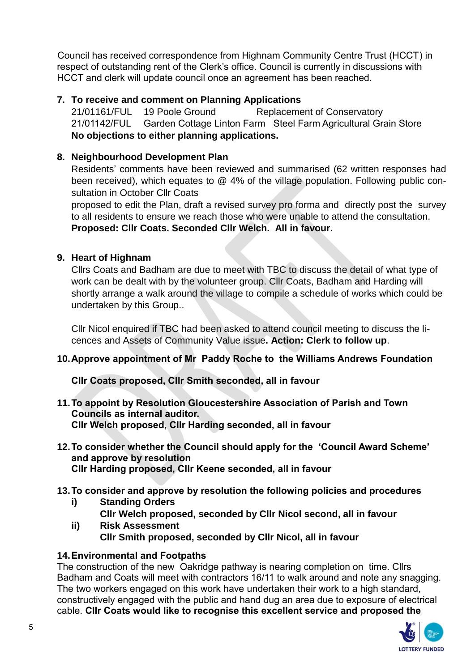Council has received correspondence from Highnam Community Centre Trust (HCCT) in respect of outstanding rent of the Clerk's office. Council is currently in discussions with HCCT and clerk will update council once an agreement has been reached.

## **7. To receive and comment on Planning Applications**

21/01161/FUL 19 Poole Ground Replacement of Conservatory 21/01142/FUL Garden Cottage Linton Farm Steel Farm Agricultural Grain Store **No objections to either planning applications.** 

## **8. Neighbourhood Development Plan**

Residents' comments have been reviewed and summarised (62 written responses had been received), which equates to @ 4% of the village population. Following public consultation in October Cllr Coats

proposed to edit the Plan, draft a revised survey pro forma and directly post the survey to all residents to ensure we reach those who were unable to attend the consultation. **Proposed: Cllr Coats. Seconded Cllr Welch. All in favour.** 

## **9. Heart of Highnam**

Cllrs Coats and Badham are due to meet with TBC to discuss the detail of what type of work can be dealt with by the volunteer group. Cllr Coats, Badham and Harding will shortly arrange a walk around the village to compile a schedule of works which could be undertaken by this Group..

Cllr Nicol enquired if TBC had been asked to attend council meeting to discuss the licences and Assets of Community Value issue**. Action: Clerk to follow up**.

## **10.Approve appointment of Mr Paddy Roche to the Williams Andrews Foundation**

**Cllr Coats proposed, Cllr Smith seconded, all in favour** 

- **11.To appoint by Resolution Gloucestershire Association of Parish and Town Councils as internal auditor. Cllr Welch proposed, Cllr Harding seconded, all in favour**
- **12.To consider whether the Council should apply for the 'Council Award Scheme' and approve by resolution Cllr Harding proposed, Cllr Keene seconded, all in favour**
- **13.To consider and approve by resolution the following policies and procedures**
	- **i) Standing Orders**
	- **Cllr Welch proposed, seconded by Cllr Nicol second, all in favour ii) Risk Assessment Cllr Smith proposed, seconded by Cllr Nicol, all in favour**

## **14.Environmental and Footpaths**

The construction of the new Oakridge pathway is nearing completion on time. Cllrs Badham and Coats will meet with contractors 16/11 to walk around and note any snagging. The two workers engaged on this work have undertaken their work to a high standard, constructively engaged with the public and hand dug an area due to exposure of electrical cable. **Cllr Coats would like to recognise this excellent service and proposed the**

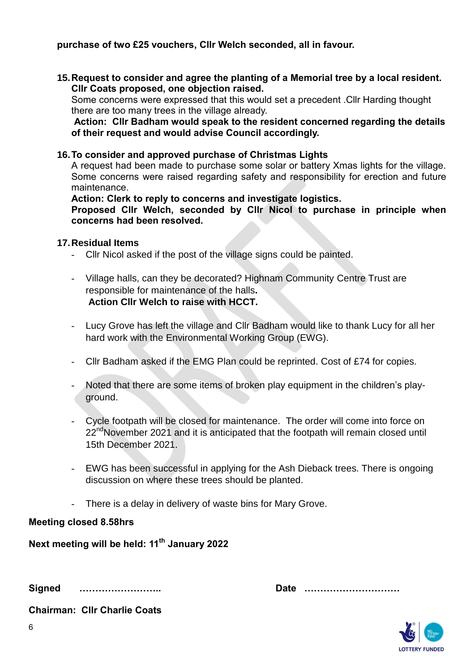**purchase of two £25 vouchers, Cllr Welch seconded, all in favour.** 

**15.Request to consider and agree the planting of a Memorial tree by a local resident. Cllr Coats proposed, one objection raised.**

Some concerns were expressed that this would set a precedent .Cllr Harding thought there are too many trees in the village already.

**Action: Cllr Badham would speak to the resident concerned regarding the details of their request and would advise Council accordingly.**

#### **16.To consider and approved purchase of Christmas Lights**

A request had been made to purchase some solar or battery Xmas lights for the village. Some concerns were raised regarding safety and responsibility for erection and future maintenance.

**Action: Clerk to reply to concerns and investigate logistics.** 

**Proposed Cllr Welch, seconded by Cllr Nicol to purchase in principle when concerns had been resolved.**

#### **17.Residual Items**

- Cllr Nicol asked if the post of the village signs could be painted.
- Village halls, can they be decorated? Highnam Community Centre Trust are responsible for maintenance of the halls**. Action Cllr Welch to raise with HCCT.**
- Lucy Grove has left the village and Cllr Badham would like to thank Lucy for all her hard work with the Environmental Working Group (EWG).
- Cllr Badham asked if the EMG Plan could be reprinted. Cost of £74 for copies.
- Noted that there are some items of broken play equipment in the children's playground.
- Cycle footpath will be closed for maintenance. The order will come into force on 22<sup>nd</sup>November 2021 and it is anticipated that the footpath will remain closed until 15th December 2021.
- EWG has been successful in applying for the Ash Dieback trees. There is ongoing discussion on where these trees should be planted.
- There is a delay in delivery of waste bins for Mary Grove.

#### **Meeting closed 8.58hrs**

**Next meeting will be held: 11th January 2022**

**Signed …………………….. Date …………………………**

**LOTTERY FUNDED** 

**Chairman: Cllr Charlie Coats**